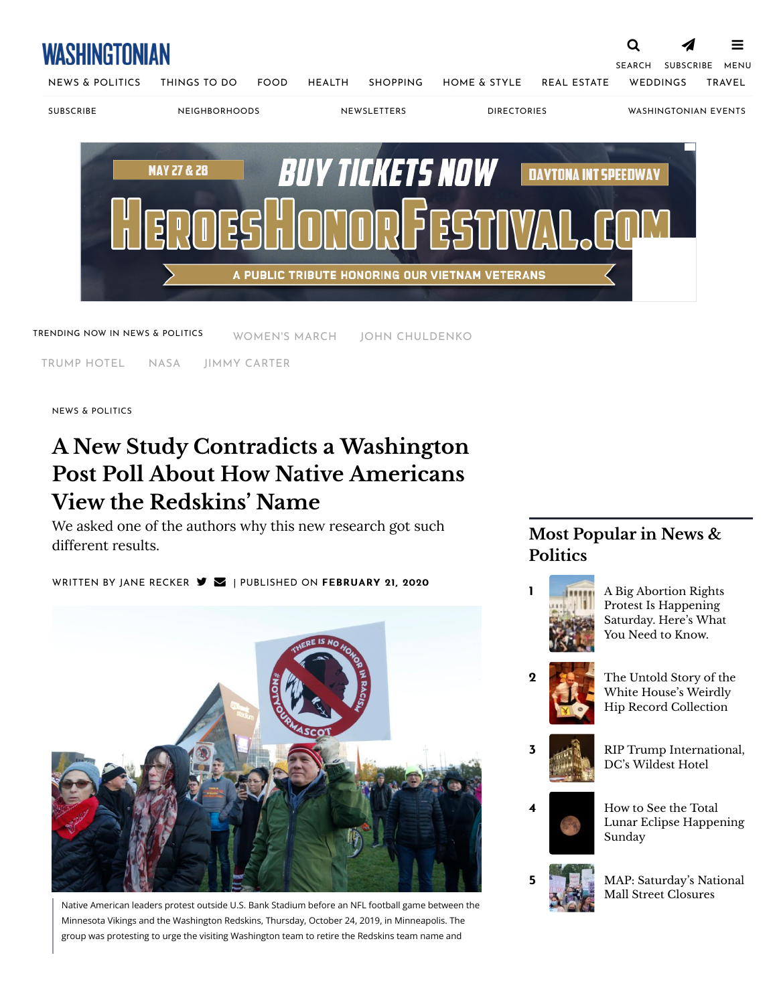# WASHINGTONIAN

SEARCH **[SUBSCRIBE](https://w1.buysub.com/pubs/WH/WSH/subscription_12for18_v1.jsp?cds_page_id=249835&cds_mag_code=WSH&id=1646672791195&lsid=20661106311087120&vid=1)** [MENU](https://www.washingtonian.com/2020/02/21/a-new-study-contradicts-a-washington-post-poll-about-how-native-americans-view-the-redskins-name/#)



[NEWS & POLITICS](https://www.washingtonian.com/sections/news/) [THINGS TO DO](https://www.washingtonian.com/sections/things-to-do/) [FOOD](https://www.washingtonian.com/sections/food/) [HEALTH](https://www.washingtonian.com/sections/health/) [SHOPPING](https://www.washingtonian.com/sections/shopping/) [HOME & STYLE](https://www.washingtonian.com/sections/home/) [REAL ESTATE](https://www.washingtonian.com/sections/realestate/) [WEDDINGS](https://www.washingtonian.com/sections/weddings/) [TRAVEL](https://www.washingtonian.com/sections/travel/)

[SUBSCRIBE](https://www.washingtonian.com/_subscribe-to-washingtonian/) [NEIGHBORHOODS](https://www.washingtonian.com/location/) [NEWSLETTERS](https://www.washingtonian.com/newsletters/) [DIRECTORIES](https://www.washingtonian.com/best/) [WASHINGTONIAN EVENTS](https://live.washingtonian.com/)

 $\equiv$ 



TRENDING NOW IN NEWS & POLITICS [WOMEN'S MARCH](https://www.washingtonian.com/2022/05/11/a-big-abortion-rights-protest-is-happening-saturday-heres-what-you-need-to-know/) [JOHN CHULDENKO](https://www.washingtonian.com/2022/05/03/the-untold-story-of-the-white-houses-weirdly-hip-record-collection/)

[TRUMP HOTEL](https://www.washingtonian.com/2022/05/12/rip-trump-international-dcs-wildest-hotel/) [NASA](https://www.washingtonian.com/2022/05/13/how-to-see-the-total-lunar-eclipse-happening-sunday/) [JIMMY CARTER](https://www.washingtonian.com/2022/05/03/the-untold-story-of-the-white-houses-weirdly-hip-record-collection/?utm_placement=newsletter)

[NEWS & POLITICS](https://www.washingtonian.com/sections/news/)

# **A New Study Contradicts a Washington Post Poll About How Native Americans View the Redskins' Name**

We asked one of the authors why this new research got such different results.

WRITTEN BY [JANE RECKER](https://www.washingtonian.com/author/jrecker/)  $\blacktriangleright$   $\blacktriangleright$   $\blacktriangleright$  | PUBLISHED ON FEBRUARY 21, 2020



Native American leaders protest outside U.S. Bank Stadium before an NFL football game between the Minnesota Vikings and the Washington Redskins, Thursday, October 24, 2019, in Minneapolis. The group was protesting to urge the visiting Washington team to retire the Redskins team name and

## **Most Popular in News & Politics**



- Protest Is Happening [Saturday. Here's What](https://www.washingtonian.com/2022/05/11/a-big-abortion-rights-protest-is-happening-saturday-heres-what-you-need-to-know/) You Need to Know.
- 
- 2 [The Untold Story of the](https://www.washingtonian.com/2022/05/03/the-untold-story-of-the-white-houses-weirdly-hip-record-collection/) White House's Weirdly Hip Record Collection



- **3** [RIP Trump International,](https://www.washingtonian.com/2022/05/12/rip-trump-international-dcs-wildest-hotel/) DC's Wildest Hotel
	-





5 [MAP: Saturday's National](https://www.washingtonian.com/2022/05/13/map-saturdays-national-mall-street-closures/) Mall Street Closures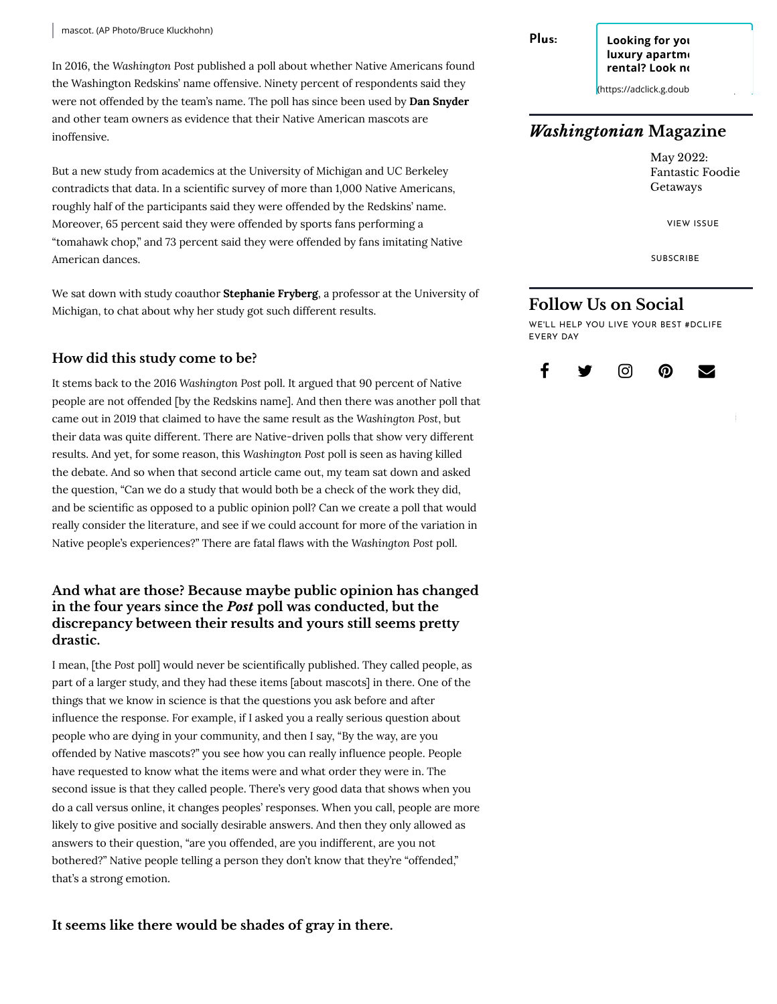In 2016, the *Washington Post* [published a poll](https://www.washingtonpost.com/local/new-poll-finds-9-in-10-native-americans-arent-offended-by-redskins-name/2016/05/18/3ea11cfa-161a-11e6-924d-838753295f9a_story.html) about whether Native Americans found the Washington Redskins' name offensive. Ninety percent of respondents said they were not offended by the team's name. The poll has since been used by **[Dan Snyder](https://www.washingtonpost.com/news/dc-sports-bog/wp/2016/05/19/reaction-to-latest-redskins-name-poll-despite-results-strong-emotions-remain/)** and other team owners as evidence that their Native American mascots are inoffensive.

But [a new study](https://psyarxiv.com/d5gte/) from academics at the University of Michigan and UC Berkeley contradicts that data. In a scientific survey of more than 1,000 Native Americans, roughly half of the participants said they were offended by the Redskins' name. Moreover, 65 percent said they were offended by sports fans performing a "tomahawk chop," and 73 percent said they were offended by fans imitating Native American dances.

We sat down with study coauthor **Stephanie Fryberg**, a professor at the University of Michigan, to chat about why her study got such different results.

#### **How did this study come to be?**

It stems back to the 2016 *Washington Post* poll. It argued that 90 percent of Native people are not offended [by the Redskins name]. And then there was [another poll](https://www.washingtonpost.com/local/a-survey-explores-how-native-americans-feel-about-the-name-washington-redskins-no-its-not-that-survey-this-one-is-new/2019/08/09/e38553bc-b581-11e9-8949-5f36ff92706e_story.html) that came out in 2019 that claimed to have the same result as the *Washington Post*, but their data was quite different. There are Native-driven polls that show very different results. And yet, for some reason, this *Washington Post* poll is seen as having killed the debate. And so when that second article came out, my team sat down and asked the question, "Can we do a study that would both be a check of the work they did, and be scientific as opposed to a public opinion poll? Can we create a poll that would really consider the literature, and see if we could account for more of the variation in Native people's experiences?" There are fatal flaws with the *Washington Post poll.* 

#### **And what are those? Because maybe public opinion has changed in the four years since the** *Post* **poll was conducted, but the discrepancy between their results and yours still seems pretty drastic.**

I mean, [the *Post* poll] would never be scientifically published. They called people, as part of a larger study, and they had these items [about mascots] in there. One of the things that we know in science is that the questions you ask before and after influence the response. For example, if I asked you a really serious question about people who are dying in your community, and then I say, "By the way, are you offended by Native mascots?" you see how you can really influence people. People have requested to know what the items were and what order they were in. The second issue is that they called people. There's very good data that shows when you do a call versus online, it changes peoples' responses. When you call, people are more likely to give positive and socially desirable answers. And then they only allowed as answers to their question, "are you offended, are you indifferent, are you not bothered?" Native people telling a person they don't know that they're "offended," that's a strong emotion.

**It seems like there would be shades of gray in there.**

Plus: **Looking for you luxury apartment rental? Look no** 

 $($ https://adclick.g.doub

### *Washingtonian* **Magazine**

May 2022: Fantastic Foodie Getaways

[VIEW ISSUE](https://www.washingtonian.com/2022/04/22/april-2022-contents-page-the-hottest-neighborhoods-of-washingtons-real-estate-boom-2/)

[SUBSCRIBE](https://www.washingtonian.com/subscribe)

### **Follow Us on Social**

WE'LL HELP YOU LIVE YOUR BEST #DCLIFE EVERY DAY

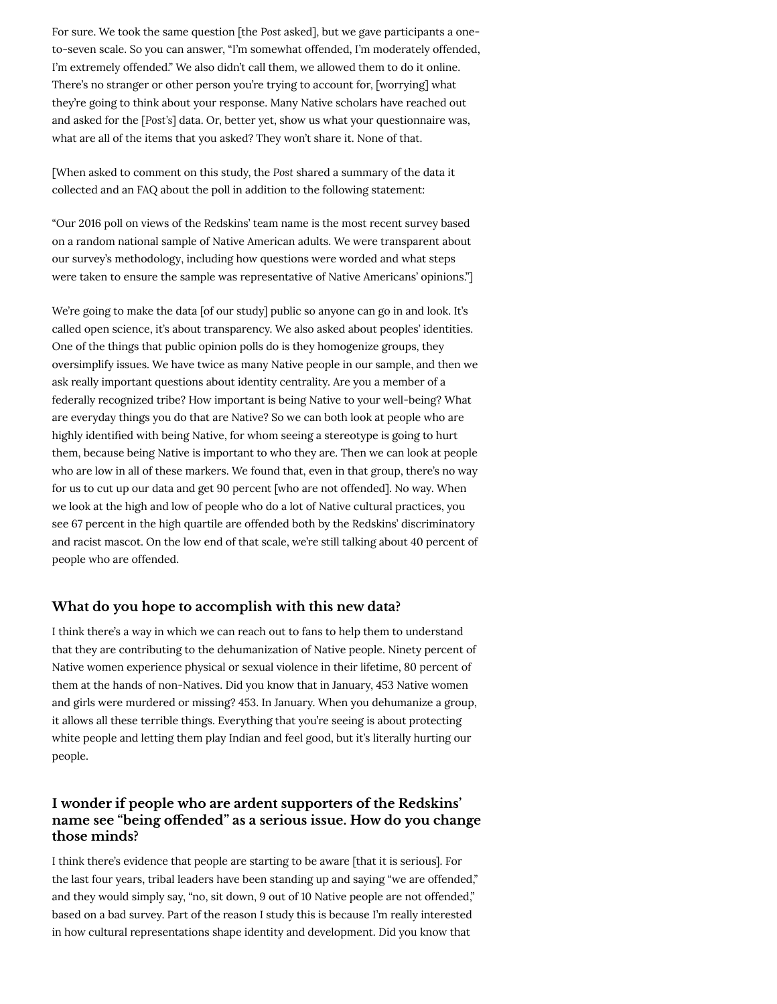For sure. We took the same question [the *Post* asked], but we gave participants a oneto-seven scale. So you can answer, "I'm somewhat offended, I'm moderately offended, I'm extremely offended." We also didn't call them, we allowed them to do it online. There's no stranger or other person you're trying to account for, [worrying] what they're going to think about your response. Many Native scholars have reached out and asked for the [*Post's*] data. Or, better yet, show us what your questionnaire was, what are all of the items that you asked? They won't share it. None of that.

[When asked to comment on this study, the *Post* shared a [summary of the data](https://apps.washingtonpost.com/g/page/national/washington-post-poll-of-native-americans-on-redskins-team-name/2032/) it collected and an [FAQ about the poll i](https://www.washingtonpost.com/local/how-the-washington-post-conducted-the-survey-on-the-redskins-name/2016/05/19/98c0a4ae-1b8c-11e6-9c81-4be1c14fb8c8_story.html)n addition to the following statement:

"Our 2016 poll on views of the Redskins' team name is the most recent survey based on a random national sample of Native American adults. We were transparent about our survey's [methodology,](https://www.washingtonpost.com/local/how-the-washington-post-conducted-the-survey-on-the-redskins-name/2016/05/19/98c0a4ae-1b8c-11e6-9c81-4be1c14fb8c8_story.html) including [how questions were worded](https://apps.washingtonpost.com/g/page/national/washington-post-poll-of-native-americans-on-redskins-team-name/2032/) and what steps were taken to ensure the sample was representative of Native Americans' opinions."]

We're going to make the data [of our study] public so anyone can go in and look. It's called open science, it's about transparency. We also asked about peoples' identities. One of the things that public opinion polls do is they homogenize groups, they oversimplify issues. We have twice as many Native people in our sample, and then we ask really important questions about identity centrality. Are you a member of a federally recognized tribe? How important is being Native to your well-being? What are everyday things you do that are Native? So we can both look at people who are highly identified with being Native, for whom seeing a stereotype is going to hurt them, because being Native is important to who they are. Then we can look at people who are low in all of these markers. We found that, even in that group, there's no way for us to cut up our data and get 90 percent [who are not offended]. No way. When we look at the high and low of people who do a lot of Native cultural practices, you see 67 percent in the high quartile are offended both by the Redskins' discriminatory and racist mascot. On the low end of that scale, we're still talking about 40 percent of people who are offended.

#### **What do you hope to accomplish with this new data?**

I think there's a way in which we can reach out to fans to help them to understand that they are contributing to the dehumanization of Native people. Ninety percent of Native women experience physical or sexual violence in their lifetime, 80 percent of them at the hands of non-Natives. Did you know that in January, 453 Native women and girls were murdered or missing? 453. In January. When you dehumanize a group, it allows all these terrible things. Everything that you're seeing is about protecting white people and letting them play Indian and feel good, but it's literally hurting our people.

#### **I wonder if people who are ardent supporters of the Redskins' name see "being o!ended" as a serious issue. How do you change those minds?**

I think there's evidence that people are starting to be aware [that it is serious]. For the last four years, tribal leaders have been standing up and saying "we are offended," and they would simply say, "no, sit down, 9 out of 10 Native people are not offended," based on a bad survey. Part of the reason I study this is because I'm really interested in how cultural representations shape identity and development. Did you know that